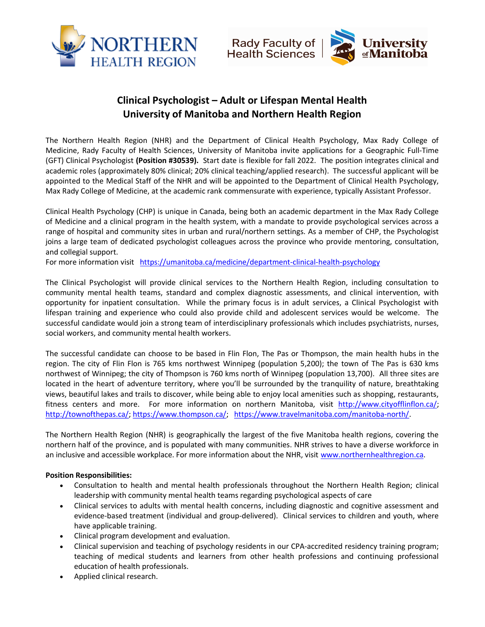



## Clinical Psychologist – Adult or Lifespan Mental Health University of Manitoba and Northern Health Region

The Northern Health Region (NHR) and the Department of Clinical Health Psychology, Max Rady College of Medicine, Rady Faculty of Health Sciences, University of Manitoba invite applications for a Geographic Full-Time (GFT) Clinical Psychologist (Position #30539). Start date is flexible for fall 2022. The position integrates clinical and academic roles (approximately 80% clinical; 20% clinical teaching/applied research). The successful applicant will be appointed to the Medical Staff of the NHR and will be appointed to the Department of Clinical Health Psychology, Max Rady College of Medicine, at the academic rank commensurate with experience, typically Assistant Professor.

Clinical Health Psychology (CHP) is unique in Canada, being both an academic department in the Max Rady College of Medicine and a clinical program in the health system, with a mandate to provide psychological services across a range of hospital and community sites in urban and rural/northern settings. As a member of CHP, the Psychologist joins a large team of dedicated psychologist colleagues across the province who provide mentoring, consultation, and collegial support.

For more information visit https://umanitoba.ca/medicine/department-clinical-health-psychology

The Clinical Psychologist will provide clinical services to the Northern Health Region, including consultation to community mental health teams, standard and complex diagnostic assessments, and clinical intervention, with opportunity for inpatient consultation. While the primary focus is in adult services, a Clinical Psychologist with lifespan training and experience who could also provide child and adolescent services would be welcome. The successful candidate would join a strong team of interdisciplinary professionals which includes psychiatrists, nurses, social workers, and community mental health workers.

The successful candidate can choose to be based in Flin Flon, The Pas or Thompson, the main health hubs in the region. The city of Flin Flon is 765 kms northwest Winnipeg (population 5,200); the town of The Pas is 630 kms northwest of Winnipeg; the city of Thompson is 760 kms north of Winnipeg (population 13,700). All three sites are located in the heart of adventure territory, where you'll be surrounded by the tranquility of nature, breathtaking views, beautiful lakes and trails to discover, while being able to enjoy local amenities such as shopping, restaurants, fitness centers and more. For more information on northern Manitoba, visit http://www.cityofflinflon.ca/; http://townofthepas.ca/; https://www.thompson.ca/; https://www.travelmanitoba.com/manitoba-north/.

The Northern Health Region (NHR) is geographically the largest of the five Manitoba health regions, covering the northern half of the province, and is populated with many communities. NHR strives to have a diverse workforce in an inclusive and accessible workplace. For more information about the NHR, visit www.northernhealthregion.ca.

## Position Responsibilities:

- Consultation to health and mental health professionals throughout the Northern Health Region; clinical leadership with community mental health teams regarding psychological aspects of care
- Clinical services to adults with mental health concerns, including diagnostic and cognitive assessment and evidence-based treatment (individual and group-delivered). Clinical services to children and youth, where have applicable training.
- Clinical program development and evaluation.
- Clinical supervision and teaching of psychology residents in our CPA-accredited residency training program; teaching of medical students and learners from other health professions and continuing professional education of health professionals.
- Applied clinical research.